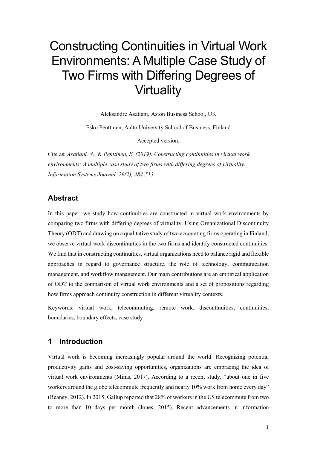# Constructing Continuities in Virtual Work Environments: A Multiple Case Study of Two Firms with Differing Degrees of **Virtuality**

Aleksandre Asatiani, Aston Business School, UK

Esko Penttinen, Aalto University School of Business, Finland

Accepted version.

Cite as: Asatiani, A., & Penttinen, E. (2019). Constructing continuities in virtual work environments: A multiple case study of two firms with differing degrees of virtuality. Information Systems Journal, 29(2), 484-513.

### Abstract

In this paper, we study how continuities are constructed in virtual work environments by comparing two firms with differing degrees of virtuality. Using Organizational Discontinuity Theory (ODT) and drawing on a qualitative study of two accounting firms operating in Finland, we observe virtual work discontinuities in the two firms and identify constructed continuities. We find that in constructing continuities, virtual organizations need to balance rigid and flexible approaches in regard to governance structure, the role of technology, communication management, and workflow management. Our main contributions are an empirical application of ODT to the comparison of virtual work environments and a set of propositions regarding how firms approach continuity construction in different virtuality contexts.

Keywords: virtual work, telecommuting, remote work, discontinuities, continuities, boundaries, boundary effects, case study

### 1 Introduction

Virtual work is becoming increasingly popular around the world. Recognizing potential productivity gains and cost-saving opportunities, organizations are embracing the idea of virtual work environments (Mims, 2017). According to a recent study, "about one in five workers around the globe telecommute frequently and nearly 10% work from home every day" (Reaney, 2012). In 2015, Gallup reported that 28% of workers in the US telecommute from two to more than 10 days per month (Jones, 2015). Recent advancements in information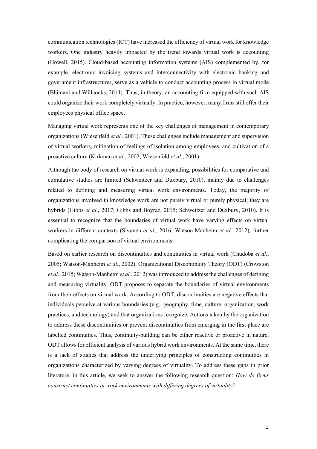communication technologies (ICT) have increased the efficiency of virtual work for knowledge workers. One industry heavily impacted by the trend towards virtual work is accounting (Howell, 2015). Cloud-based accounting information systems (AIS) complemented by, for example, electronic invoicing systems and interconnectivity with electronic banking and government infrastructures, serve as a vehicle to conduct accounting process in virtual mode (Bhimani and Willcocks, 2014). Thus, in theory, an accounting firm equipped with such AIS could organize their work completely virtually. In practice, however, many firms still offer their employees physical office space.

Managing virtual work represents one of the key challenges of management in contemporary organizations (Wiesenfeld et al., 2001). These challenges include management and supervision of virtual workers, mitigation of feelings of isolation among employees, and cultivation of a proactive culture (Kirkman et al., 2002; Wiesenfeld et al., 2001).

Although the body of research on virtual work is expanding, possibilities for comparative and cumulative studies are limited (Schweitzer and Duxbury, 2010), mainly due to challenges related to defining and measuring virtual work environments. Today, the majority of organizations involved in knowledge work are not purely virtual or purely physical; they are hybrids (Gibbs et al., 2017; Gibbs and Boyraz, 2015; Schweitzer and Duxbury, 2010). It is essential to recognize that the boundaries of virtual work have varying effects on virtual workers in different contexts (Sivunen et al., 2016; Watson-Manheim et al., 2012), further complicating the comparison of virtual environments.

Based on earlier research on discontinuities and continuities in virtual work (Chudoba et al., 2005; Watson-Manheim et al., 2002), Organizational Discontinuity Theory (ODT) (Crowston et al., 2015; Watson-Manheim et al., 2012) was introduced to address the challenges of defining and measuring virtuality. ODT proposes to separate the boundaries of virtual environments from their effects on virtual work. According to ODT, discontinuities are negative effects that individuals perceive at various boundaries (e.g., geography, time, culture, organization, work practices, and technology) and that organizations recognize. Actions taken by the organization to address these discontinuities or prevent discontinuities from emerging in the first place are labelled continuities. Thus, continuity-building can be either reactive or proactive in nature. ODT allows for efficient analysis of various hybrid work environments. At the same time, there is a lack of studies that address the underlying principles of constructing continuities in organizations characterized by varying degrees of virtuality. To address these gaps in prior literature, in this article, we seek to answer the following research question: How do firms construct continuities in work environments with differing degrees of virtuality?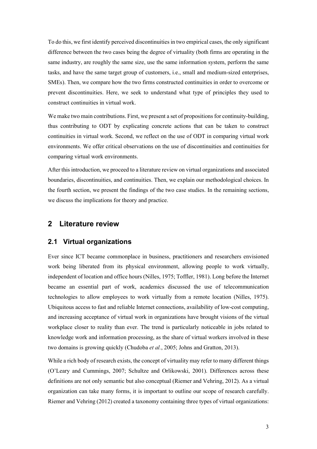To do this, we first identify perceived discontinuities in two empirical cases, the only significant difference between the two cases being the degree of virtuality (both firms are operating in the same industry, are roughly the same size, use the same information system, perform the same tasks, and have the same target group of customers, i.e., small and medium-sized enterprises, SMEs). Then, we compare how the two firms constructed continuities in order to overcome or prevent discontinuities. Here, we seek to understand what type of principles they used to construct continuities in virtual work.

We make two main contributions. First, we present a set of propositions for continuity-building, thus contributing to ODT by explicating concrete actions that can be taken to construct continuities in virtual work. Second, we reflect on the use of ODT in comparing virtual work environments. We offer critical observations on the use of discontinuities and continuities for comparing virtual work environments.

After this introduction, we proceed to a literature review on virtual organizations and associated boundaries, discontinuities, and continuities. Then, we explain our methodological choices. In the fourth section, we present the findings of the two case studies. In the remaining sections, we discuss the implications for theory and practice.

### 2 Literature review

### 2.1 Virtual organizations

Ever since ICT became commonplace in business, practitioners and researchers envisioned work being liberated from its physical environment, allowing people to work virtually, independent of location and office hours (Nilles, 1975; Toffler, 1981). Long before the Internet became an essential part of work, academics discussed the use of telecommunication technologies to allow employees to work virtually from a remote location (Nilles, 1975). Ubiquitous access to fast and reliable Internet connections, availability of low-cost computing, and increasing acceptance of virtual work in organizations have brought visions of the virtual workplace closer to reality than ever. The trend is particularly noticeable in jobs related to knowledge work and information processing, as the share of virtual workers involved in these two domains is growing quickly (Chudoba et al., 2005; Johns and Gratton, 2013).

While a rich body of research exists, the concept of virtuality may refer to many different things (O'Leary and Cummings, 2007; Schultze and Orlikowski, 2001). Differences across these definitions are not only semantic but also conceptual (Riemer and Vehring, 2012). As a virtual organization can take many forms, it is important to outline our scope of research carefully. Riemer and Vehring (2012) created a taxonomy containing three types of virtual organizations: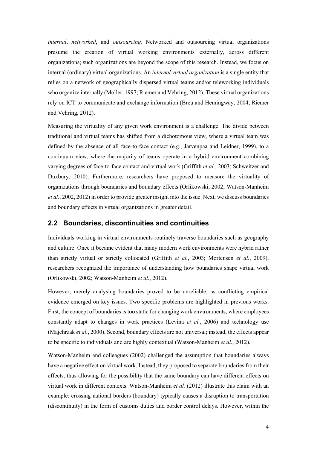internal, networked, and outsourcing. Networked and outsourcing virtual organizations presume the creation of virtual working environments externally, across different organizations; such organizations are beyond the scope of this research. Instead, we focus on internal (ordinary) virtual organizations. An internal virtual organization is a single entity that relies on a network of geographically dispersed virtual teams and/or teleworking individuals who organize internally (Moller, 1997; Riemer and Vehring, 2012). These virtual organizations rely on ICT to communicate and exchange information (Breu and Hemingway, 2004; Riemer and Vehring, 2012).

Measuring the virtuality of any given work environment is a challenge. The divide between traditional and virtual teams has shifted from a dichotomous view, where a virtual team was defined by the absence of all face-to-face contact (e.g., Jarvenpaa and Leidner, 1999), to a continuum view, where the majority of teams operate in a hybrid environment combining varying degrees of face-to-face contact and virtual work (Griffith et al., 2003; Schweitzer and Duxbury, 2010). Furthermore, researchers have proposed to measure the virtuality of organizations through boundaries and boundary effects (Orlikowski, 2002; Watson-Manheim et al., 2002, 2012) in order to provide greater insight into the issue. Next, we discuss boundaries and boundary effects in virtual organizations in greater detail.

#### 2.2 Boundaries, discontinuities and continuities

Individuals working in virtual environments routinely traverse boundaries such as geography and culture. Once it became evident that many modern work environments were hybrid rather than strictly virtual or strictly collocated (Griffith et al., 2003; Mortensen et al., 2009), researchers recognized the importance of understanding how boundaries shape virtual work (Orlikowski, 2002; Watson-Manheim et al., 2012).

However, merely analysing boundaries proved to be unreliable, as conflicting empirical evidence emerged on key issues. Two specific problems are highlighted in previous works. First, the concept of boundaries is too static for changing work environments, where employees constantly adapt to changes in work practices (Levina et al., 2006) and technology use (Majchrzak et al., 2000). Second, boundary effects are not universal; instead, the effects appear to be specific to individuals and are highly contextual (Watson-Manheim et al., 2012).

Watson-Manheim and colleagues (2002) challenged the assumption that boundaries always have a negative effect on virtual work. Instead, they proposed to separate boundaries from their effects, thus allowing for the possibility that the same boundary can have different effects on virtual work in different contexts. Watson-Manheim et al. (2012) illustrate this claim with an example: crossing national borders (boundary) typically causes a disruption to transportation (discontinuity) in the form of customs duties and border control delays. However, within the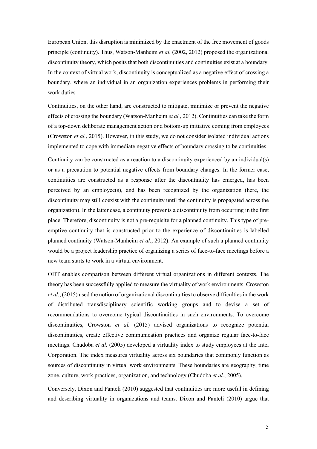European Union, this disruption is minimized by the enactment of the free movement of goods principle (continuity). Thus, Watson-Manheim *et al.* (2002, 2012) proposed the organizational discontinuity theory, which posits that both discontinuities and continuities exist at a boundary. In the context of virtual work, discontinuity is conceptualized as a negative effect of crossing a boundary, where an individual in an organization experiences problems in performing their work duties.

Continuities, on the other hand, are constructed to mitigate, minimize or prevent the negative effects of crossing the boundary (Watson-Manheim *et al.*, 2012). Continuities can take the form of a top-down deliberate management action or a bottom-up initiative coming from employees (Crowston et al., 2015). However, in this study, we do not consider isolated individual actions implemented to cope with immediate negative effects of boundary crossing to be continuities.

Continuity can be constructed as a reaction to a discontinuity experienced by an individual(s) or as a precaution to potential negative effects from boundary changes. In the former case, continuities are constructed as a response after the discontinuity has emerged, has been perceived by an employee(s), and has been recognized by the organization (here, the discontinuity may still coexist with the continuity until the continuity is propagated across the organization). In the latter case, a continuity prevents a discontinuity from occurring in the first place. Therefore, discontinuity is not a pre-requisite for a planned continuity. This type of preemptive continuity that is constructed prior to the experience of discontinuities is labelled planned continuity (Watson-Manheim et al., 2012). An example of such a planned continuity would be a project leadership practice of organizing a series of face-to-face meetings before a new team starts to work in a virtual environment.

ODT enables comparison between different virtual organizations in different contexts. The theory has been successfully applied to measure the virtuality of work environments. Crowston et al., (2015) used the notion of organizational discontinuities to observe difficulties in the work of distributed transdisciplinary scientific working groups and to devise a set of recommendations to overcome typical discontinuities in such environments. To overcome discontinuities, Crowston et al. (2015) advised organizations to recognize potential discontinuities, create effective communication practices and organize regular face-to-face meetings. Chudoba *et al.* (2005) developed a virtuality index to study employees at the Intel Corporation. The index measures virtuality across six boundaries that commonly function as sources of discontinuity in virtual work environments. These boundaries are geography, time zone, culture, work practices, organization, and technology (Chudoba et al., 2005).

Conversely, Dixon and Panteli (2010) suggested that continuities are more useful in defining and describing virtuality in organizations and teams. Dixon and Panteli (2010) argue that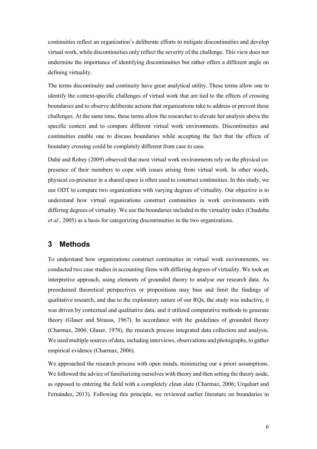continuities reflect an organization's deliberate efforts to mitigate discontinuities and develop virtual work, while discontinuities only reflect the severity of the challenge. This view does not undermine the importance of identifying discontinuities but rather offers a different angle on defining virtuality.

The terms discontinuity and continuity have great analytical utility. These terms allow one to identify the context-specific challenges of virtual work that are tied to the effects of crossing boundaries and to observe deliberate actions that organizations take to address or prevent these challenges. At the same time, these terms allow the researcher to elevate her analysis above the specific context and to compare different virtual work environments. Discontinuities and continuities enable one to discuss boundaries while accepting the fact that the effects of boundary crossing could be completely different from case to case.

Dubé and Robey (2009) observed that most virtual work environments rely on the physical copresence of their members to cope with issues arising from virtual work. In other words, physical co-presence in a shared space is often used to construct continuities. In this study, we use ODT to compare two organizations with varying degrees of virtuality. Our objective is to understand how virtual organizations construct continuities in work environments with differing degrees of virtuality. We use the boundaries included in the virtuality index (Chudoba et al., 2005) as a basis for categorizing discontinuities in the two organizations.

### 3 Methods

To understand how organizations construct continuities in virtual work environments, we conducted two case studies in accounting firms with differing degrees of virtuality. We took an interpretive approach, using elements of grounded theory to analyse our research data. As preordained theoretical perspectives or propositions may bias and limit the findings of qualitative research, and due to the exploratory nature of our RQs, the study was inductive, it was driven by contextual and qualitative data, and it utilized comparative methods to generate theory (Glaser and Strauss, 1967). In accordance with the guidelines of grounded theory (Charmaz, 2006; Glaser, 1978), the research process integrated data collection and analysis. We used multiple sources of data, including interviews, observations and photographs, to gather empirical evidence (Charmaz, 2006).

We approached the research process with open minds, minimizing our a priori assumptions. We followed the advice of familiarizing ourselves with theory and then setting the theory aside, as opposed to entering the field with a completely clean slate (Charmaz, 2006; Urquhart and Fernández, 2013). Following this principle, we reviewed earlier literature on boundaries in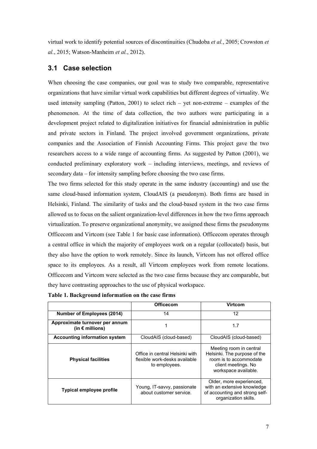virtual work to identify potential sources of discontinuities (Chudoba et al., 2005; Crowston et al., 2015; Watson-Manheim et al., 2012).

### 3.1 Case selection

When choosing the case companies, our goal was to study two comparable, representative organizations that have similar virtual work capabilities but different degrees of virtuality. We used intensity sampling (Patton, 2001) to select rich – yet non-extreme – examples of the phenomenon. At the time of data collection, the two authors were participating in a development project related to digitalization initiatives for financial administration in public and private sectors in Finland. The project involved government organizations, private companies and the Association of Finnish Accounting Firms. This project gave the two researchers access to a wide range of accounting firms. As suggested by Patton (2001), we conducted preliminary exploratory work – including interviews, meetings, and reviews of secondary data – for intensity sampling before choosing the two case firms.

The two firms selected for this study operate in the same industry (accounting) and use the same cloud-based information system, CloudAIS (a pseudonym). Both firms are based in Helsinki, Finland. The similarity of tasks and the cloud-based system in the two case firms allowed us to focus on the salient organization-level differences in how the two firms approach virtualization. To preserve organizational anonymity, we assigned these firms the pseudonyms Officecom and Virtcom (see Table 1 for basic case information). Officecom operates through a central office in which the majority of employees work on a regular (collocated) basis, but they also have the option to work remotely. Since its launch, Virtcom has not offered office space to its employees. As a result, all Virtcom employees work from remote locations. Officecom and Virtcom were selected as the two case firms because they are comparable, but they have contrasting approaches to the use of physical workspace.

|                                                            | <b>Officecom</b>                                                                  | Virtcom                                                                                                                          |
|------------------------------------------------------------|-----------------------------------------------------------------------------------|----------------------------------------------------------------------------------------------------------------------------------|
| <b>Number of Employees (2014)</b>                          | 14                                                                                | 12                                                                                                                               |
| Approximate turnover per annum<br>(in $\epsilon$ millions) |                                                                                   | 1.7                                                                                                                              |
| <b>Accounting information system</b>                       | CloudAIS (cloud-based)                                                            | CloudAIS (cloud-based)                                                                                                           |
| <b>Physical facilities</b>                                 | Office in central Helsinki with<br>flexible work-desks available<br>to employees. | Meeting room in central<br>Helsinki. The purpose of the<br>room is to accommodate<br>client meetings. No<br>workspace available. |
| Typical employee profile                                   | Young, IT-savvy, passionate<br>about customer service.                            | Older, more experienced,<br>with an extensive knowledge<br>of accounting and strong self-<br>organization skills.                |

| Table 1. Background information on the case firms |
|---------------------------------------------------|
|---------------------------------------------------|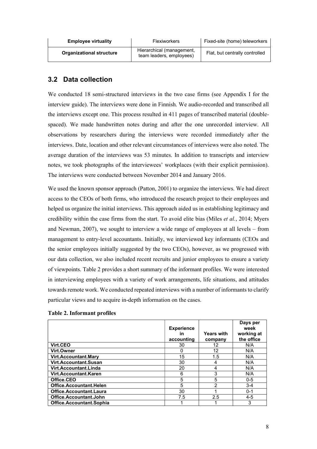| <b>Employee virtuality</b>      | <b>Flexiworkers</b>                                   | Fixed-site (home) teleworkers  |
|---------------------------------|-------------------------------------------------------|--------------------------------|
| <b>Organizational structure</b> | Hierarchical (management,<br>team leaders, employees) | Flat, but centrally controlled |

### 3.2 Data collection

We conducted 18 semi-structured interviews in the two case firms (see Appendix I for the interview guide). The interviews were done in Finnish. We audio-recorded and transcribed all the interviews except one. This process resulted in 411 pages of transcribed material (doublespaced). We made handwritten notes during and after the one unrecorded interview. All observations by researchers during the interviews were recorded immediately after the interviews. Date, location and other relevant circumstances of interviews were also noted. The average duration of the interviews was 53 minutes. In addition to transcripts and interview notes, we took photographs of the interviewees' workplaces (with their explicit permission). The interviews were conducted between November 2014 and January 2016.

We used the known sponsor approach (Patton, 2001) to organize the interviews. We had direct access to the CEOs of both firms, who introduced the research project to their employees and helped us organize the initial interviews. This approach aided us in establishing legitimacy and credibility within the case firms from the start. To avoid elite bias (Miles et al., 2014; Myers and Newman, 2007), we sought to interview a wide range of employees at all levels – from management to entry-level accountants. Initially, we interviewed key informants (CEOs and the senior employees initially suggested by the two CEOs), however, as we progressed with our data collection, we also included recent recruits and junior employees to ensure a variety of viewpoints. Table 2 provides a short summary of the informant profiles. We were interested in interviewing employees with a variety of work arrangements, life situations, and attitudes towards remote work. We conducted repeated interviews with a number of informants to clarify particular views and to acquire in-depth information on the cases.

|                                | <b>Experience</b><br>in<br>accounting | <b>Years with</b><br>company | Days per<br>week<br>working at<br>the office |
|--------------------------------|---------------------------------------|------------------------------|----------------------------------------------|
| Virt.CEO                       | 30                                    | 12                           | N/A                                          |
| Virt.Owner                     | 0                                     | 12                           | N/A                                          |
| <b>Virt.Accountant.Mary</b>    | 15                                    | 1.5                          | N/A                                          |
| Virt.Accountant.Susan          | 30                                    |                              | N/A                                          |
| Virt.Accountant.Linda          | 20                                    | 4                            | N/A                                          |
| Virt.Accountant.Karen          | 6                                     | 3                            | N/A                                          |
| Office.CEO                     | 5                                     | 5                            | $0 - 5$                                      |
| <b>Office.Accountant.Helen</b> | 5                                     | 2                            | $3 - 4$                                      |
| Office.Accountant.Laura        | 30                                    |                              | $0 - 1$                                      |
| Office.Accountant.John         | 7.5                                   | 2.5                          | $4 - 5$                                      |
| Office.Accountant.Sophia       |                                       |                              | 3                                            |

#### Table 2. Informant profiles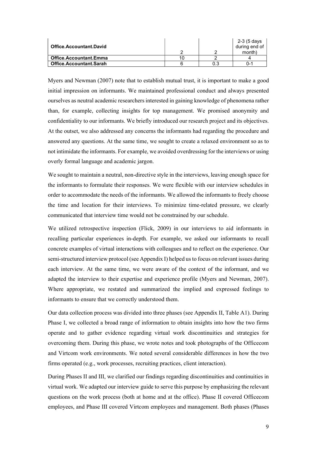|                         |    | 2-3 (5 days   |
|-------------------------|----|---------------|
| Office.Accountant.David |    | during end of |
|                         |    | month)        |
| Office.Accountant.Emma  | 10 |               |
| Office.Accountant.Sarah |    | 0-1           |

Myers and Newman (2007) note that to establish mutual trust, it is important to make a good initial impression on informants. We maintained professional conduct and always presented ourselves as neutral academic researchers interested in gaining knowledge of phenomena rather than, for example, collecting insights for top management. We promised anonymity and confidentiality to our informants. We briefly introduced our research project and its objectives. At the outset, we also addressed any concerns the informants had regarding the procedure and answered any questions. At the same time, we sought to create a relaxed environment so as to not intimidate the informants. For example, we avoided overdressing for the interviews or using overly formal language and academic jargon.

We sought to maintain a neutral, non-directive style in the interviews, leaving enough space for the informants to formulate their responses. We were flexible with our interview schedules in order to accommodate the needs of the informants. We allowed the informants to freely choose the time and location for their interviews. To minimize time-related pressure, we clearly communicated that interview time would not be constrained by our schedule.

We utilized retrospective inspection (Flick, 2009) in our interviews to aid informants in recalling particular experiences in-depth. For example, we asked our informants to recall concrete examples of virtual interactions with colleagues and to reflect on the experience. Our semi-structured interview protocol (see Appendix I) helped us to focus on relevant issues during each interview. At the same time, we were aware of the context of the informant, and we adapted the interview to their expertise and experience profile (Myers and Newman, 2007). Where appropriate, we restated and summarized the implied and expressed feelings to informants to ensure that we correctly understood them.

Our data collection process was divided into three phases (see Appendix II, Table A1). During Phase I, we collected a broad range of information to obtain insights into how the two firms operate and to gather evidence regarding virtual work discontinuities and strategies for overcoming them. During this phase, we wrote notes and took photographs of the Officecom and Virtcom work environments. We noted several considerable differences in how the two firms operated (e.g., work processes, recruiting practices, client interaction).

During Phases II and III, we clarified our findings regarding discontinuities and continuities in virtual work. We adapted our interview guide to serve this purpose by emphasizing the relevant questions on the work process (both at home and at the office). Phase II covered Officecom employees, and Phase III covered Virtcom employees and management. Both phases (Phases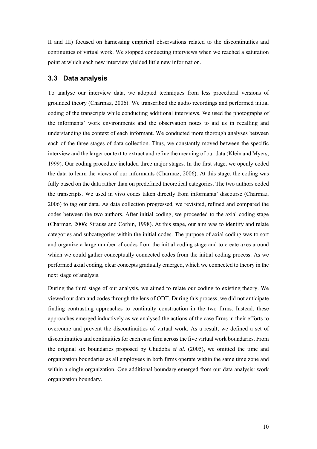II and III) focused on harnessing empirical observations related to the discontinuities and continuities of virtual work. We stopped conducting interviews when we reached a saturation point at which each new interview yielded little new information.

### 3.3 Data analysis

To analyse our interview data, we adopted techniques from less procedural versions of grounded theory (Charmaz, 2006). We transcribed the audio recordings and performed initial coding of the transcripts while conducting additional interviews. We used the photographs of the informants' work environments and the observation notes to aid us in recalling and understanding the context of each informant. We conducted more thorough analyses between each of the three stages of data collection. Thus, we constantly moved between the specific interview and the larger context to extract and refine the meaning of our data (Klein and Myers, 1999). Our coding procedure included three major stages. In the first stage, we openly coded the data to learn the views of our informants (Charmaz, 2006). At this stage, the coding was fully based on the data rather than on predefined theoretical categories. The two authors coded the transcripts. We used in vivo codes taken directly from informants' discourse (Charmaz, 2006) to tag our data. As data collection progressed, we revisited, refined and compared the codes between the two authors. After initial coding, we proceeded to the axial coding stage (Charmaz, 2006; Strauss and Corbin, 1998). At this stage, our aim was to identify and relate categories and subcategories within the initial codes. The purpose of axial coding was to sort and organize a large number of codes from the initial coding stage and to create axes around which we could gather conceptually connected codes from the initial coding process. As we performed axial coding, clear concepts gradually emerged, which we connected to theory in the next stage of analysis.

During the third stage of our analysis, we aimed to relate our coding to existing theory. We viewed our data and codes through the lens of ODT. During this process, we did not anticipate finding contrasting approaches to continuity construction in the two firms. Instead, these approaches emerged inductively as we analysed the actions of the case firms in their efforts to overcome and prevent the discontinuities of virtual work. As a result, we defined a set of discontinuities and continuities for each case firm across the five virtual work boundaries. From the original six boundaries proposed by Chudoba et al. (2005), we omitted the time and organization boundaries as all employees in both firms operate within the same time zone and within a single organization. One additional boundary emerged from our data analysis: work organization boundary.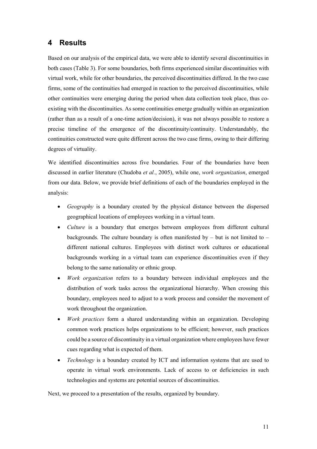### 4 Results

Based on our analysis of the empirical data, we were able to identify several discontinuities in both cases (Table 3). For some boundaries, both firms experienced similar discontinuities with virtual work, while for other boundaries, the perceived discontinuities differed. In the two case firms, some of the continuities had emerged in reaction to the perceived discontinuities, while other continuities were emerging during the period when data collection took place, thus coexisting with the discontinuities. As some continuities emerge gradually within an organization (rather than as a result of a one-time action/decision), it was not always possible to restore a precise timeline of the emergence of the discontinuity/continuity. Understandably, the continuities constructed were quite different across the two case firms, owing to their differing degrees of virtuality.

We identified discontinuities across five boundaries. Four of the boundaries have been discussed in earlier literature (Chudoba et al., 2005), while one, work organization, emerged from our data. Below, we provide brief definitions of each of the boundaries employed in the analysis:

- Geography is a boundary created by the physical distance between the dispersed geographical locations of employees working in a virtual team.
- Culture is a boundary that emerges between employees from different cultural backgrounds. The culture boundary is often manifested by  $-$  but is not limited to  $$ different national cultures. Employees with distinct work cultures or educational backgrounds working in a virtual team can experience discontinuities even if they belong to the same nationality or ethnic group.
- Work organization refers to a boundary between individual employees and the distribution of work tasks across the organizational hierarchy. When crossing this boundary, employees need to adjust to a work process and consider the movement of work throughout the organization.
- Work practices form a shared understanding within an organization. Developing common work practices helps organizations to be efficient; however, such practices could be a source of discontinuity in a virtual organization where employees have fewer cues regarding what is expected of them.
- Technology is a boundary created by ICT and information systems that are used to operate in virtual work environments. Lack of access to or deficiencies in such technologies and systems are potential sources of discontinuities.

Next, we proceed to a presentation of the results, organized by boundary.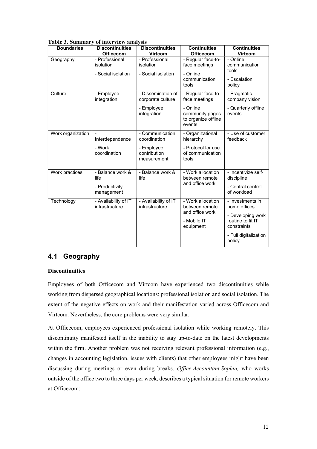| <b>Boundaries</b> | <b>Discontinuities</b><br><b>Officecom</b>               | <b>Discontinuities</b><br><b>Virtcom</b>                                     | <b>Continuities</b><br><b>Officecom</b>                                                             | <b>Continuities</b><br><b>Virtcom</b>                                                                                        |
|-------------------|----------------------------------------------------------|------------------------------------------------------------------------------|-----------------------------------------------------------------------------------------------------|------------------------------------------------------------------------------------------------------------------------------|
| Geography         | - Professional<br>isolation<br>- Social isolation        | - Professional<br>isolation<br>- Social isolation                            | - Regular face-to-<br>face meetings<br>- Online<br>communication<br>tools                           | - Online<br>communication<br>tools<br>- Escalation<br>policy                                                                 |
| Culture           | - Employee<br>integration                                | - Dissemination of<br>corporate culture<br>- Employee<br>integration         | - Regular face-to-<br>face meetings<br>- Online<br>community pages<br>to organize offline<br>events | - Pragmatic<br>company vision<br>- Quarterly offline<br>events                                                               |
| Work organization | Interdependence<br>- Work<br>coordination                | - Communication<br>coordination<br>- Employee<br>contribution<br>measurement | - Organizational<br>hierarchy<br>- Protocol for use<br>of communication<br>tools                    | - Use of customer<br>feedback                                                                                                |
| Work practices    | - Balance work &<br>life<br>- Productivity<br>management | - Balance work &<br>life                                                     | - Work allocation<br>between remote<br>and office work                                              | - Incentivize self-<br>discipline<br>- Central control<br>of workload                                                        |
| Technology        | - Availability of IT<br>infrastructure                   | - Availability of IT<br>infrastructure                                       | - Work allocation<br>between remote<br>and office work<br>- Mobile IT<br>equipment                  | - Investments in<br>home offices<br>- Developing work<br>routine to fit IT<br>constraints<br>- Full digitalization<br>policy |

Table 3. Summary of interview analysis

### 4.1 Geography

#### **Discontinuities**

Employees of both Officecom and Virtcom have experienced two discontinuities while working from dispersed geographical locations: professional isolation and social isolation. The extent of the negative effects on work and their manifestation varied across Officecom and Virtcom. Nevertheless, the core problems were very similar.

At Officecom, employees experienced professional isolation while working remotely. This discontinuity manifested itself in the inability to stay up-to-date on the latest developments within the firm. Another problem was not receiving relevant professional information (e.g., changes in accounting legislation, issues with clients) that other employees might have been discussing during meetings or even during breaks. Office.Accountant.Sophia, who works outside of the office two to three days per week, describes a typical situation for remote workers at Officecom: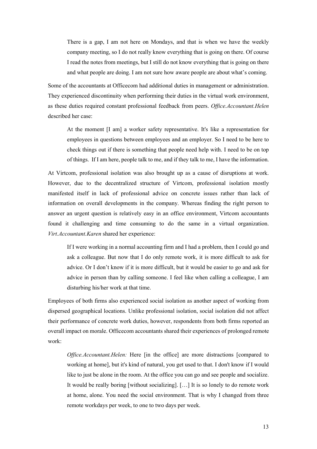There is a gap, I am not here on Mondays, and that is when we have the weekly company meeting, so I do not really know everything that is going on there. Of course I read the notes from meetings, but I still do not know everything that is going on there and what people are doing. I am not sure how aware people are about what's coming.

Some of the accountants at Officecom had additional duties in management or administration. They experienced discontinuity when performing their duties in the virtual work environment, as these duties required constant professional feedback from peers. Office.Accountant.Helen described her case:

At the moment [I am] a worker safety representative. It's like a representation for employees in questions between employees and an employer. So I need to be here to check things out if there is something that people need help with. I need to be on top of things. If I am here, people talk to me, and if they talk to me, I have the information.

At Virtcom, professional isolation was also brought up as a cause of disruptions at work. However, due to the decentralized structure of Virtcom, professional isolation mostly manifested itself in lack of professional advice on concrete issues rather than lack of information on overall developments in the company. Whereas finding the right person to answer an urgent question is relatively easy in an office environment, Virtcom accountants found it challenging and time consuming to do the same in a virtual organization. Virt.Accountant.Karen shared her experience:

If I were working in a normal accounting firm and I had a problem, then I could go and ask a colleague. But now that I do only remote work, it is more difficult to ask for advice. Or I don't know if it is more difficult, but it would be easier to go and ask for advice in person than by calling someone. I feel like when calling a colleague, I am disturbing his/her work at that time.

Employees of both firms also experienced social isolation as another aspect of working from dispersed geographical locations. Unlike professional isolation, social isolation did not affect their performance of concrete work duties, however, respondents from both firms reported an overall impact on morale. Officecom accountants shared their experiences of prolonged remote work:

Office.Accountant.Helen: Here [in the office] are more distractions [compared to working at home], but it's kind of natural, you get used to that. I don't know if I would like to just be alone in the room. At the office you can go and see people and socialize. It would be really boring [without socializing]. […] It is so lonely to do remote work at home, alone. You need the social environment. That is why I changed from three remote workdays per week, to one to two days per week.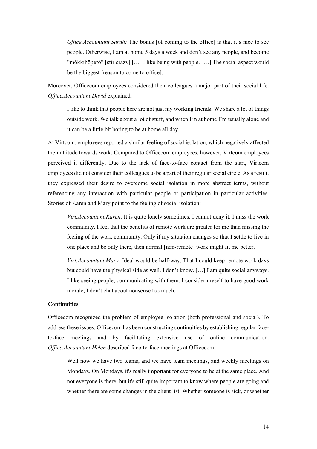Office.Accountant.Sarah: The bonus [of coming to the office] is that it's nice to see people. Otherwise, I am at home 5 days a week and don't see any people, and become "mökkihöperö" [stir crazy] [...] I like being with people. [...] The social aspect would be the biggest [reason to come to office].

Moreover, Officecom employees considered their colleagues a major part of their social life. Office.Accountant.David explained:

I like to think that people here are not just my working friends. We share a lot of things outside work. We talk about a lot of stuff, and when I'm at home I'm usually alone and it can be a little bit boring to be at home all day.

At Virtcom, employees reported a similar feeling of social isolation, which negatively affected their attitude towards work. Compared to Officecom employees, however, Virtcom employees perceived it differently. Due to the lack of face-to-face contact from the start, Virtcom employees did not consider their colleagues to be a part of their regular social circle. As a result, they expressed their desire to overcome social isolation in more abstract terms, without referencing any interaction with particular people or participation in particular activities. Stories of Karen and Mary point to the feeling of social isolation:

Virt.Accountant.Karen: It is quite lonely sometimes. I cannot deny it. I miss the work community. I feel that the benefits of remote work are greater for me than missing the feeling of the work community. Only if my situation changes so that I settle to live in one place and be only there, then normal [non-remote] work might fit me better.

Virt. Accountant. Mary: Ideal would be half-way. That I could keep remote work days but could have the physical side as well. I don't know. […] I am quite social anyways. I like seeing people, communicating with them. I consider myself to have good work morale, I don't chat about nonsense too much.

#### **Continuities**

Officecom recognized the problem of employee isolation (both professional and social). To address these issues, Officecom has been constructing continuities by establishing regular faceto-face meetings and by facilitating extensive use of online communication. Office.Accountant.Helen described face-to-face meetings at Officecom:

Well now we have two teams, and we have team meetings, and weekly meetings on Mondays. On Mondays, it's really important for everyone to be at the same place. And not everyone is there, but it's still quite important to know where people are going and whether there are some changes in the client list. Whether someone is sick, or whether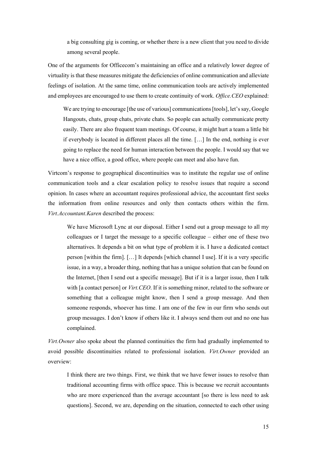a big consulting gig is coming, or whether there is a new client that you need to divide among several people.

One of the arguments for Officecom's maintaining an office and a relatively lower degree of virtuality is that these measures mitigate the deficiencies of online communication and alleviate feelings of isolation. At the same time, online communication tools are actively implemented and employees are encouraged to use them to create continuity of work. *Office.CEO* explained:

We are trying to encourage [the use of various] communications [tools], let's say, Google Hangouts, chats, group chats, private chats. So people can actually communicate pretty easily. There are also frequent team meetings. Of course, it might hurt a team a little bit if everybody is located in different places all the time. […] In the end, nothing is ever going to replace the need for human interaction between the people. I would say that we have a nice office, a good office, where people can meet and also have fun.

Virtcom's response to geographical discontinuities was to institute the regular use of online communication tools and a clear escalation policy to resolve issues that require a second opinion. In cases where an accountant requires professional advice, the accountant first seeks the information from online resources and only then contacts others within the firm. Virt.Accountant.Karen described the process:

We have Microsoft Lync at our disposal. Either I send out a group message to all my colleagues or I target the message to a specific colleague – either one of these two alternatives. It depends a bit on what type of problem it is. I have a dedicated contact person [within the firm]. […] It depends [which channel I use]. If it is a very specific issue, in a way, a broader thing, nothing that has a unique solution that can be found on the Internet, [then I send out a specific message]. But if it is a larger issue, then I talk with [a contact person] or *Virt.CEO*. If it is something minor, related to the software or something that a colleague might know, then I send a group message. And then someone responds, whoever has time. I am one of the few in our firm who sends out group messages. I don't know if others like it. I always send them out and no one has complained.

Virt.Owner also spoke about the planned continuities the firm had gradually implemented to avoid possible discontinuities related to professional isolation. Virt.Owner provided an overview:

I think there are two things. First, we think that we have fewer issues to resolve than traditional accounting firms with office space. This is because we recruit accountants who are more experienced than the average accountant [so there is less need to ask questions]. Second, we are, depending on the situation, connected to each other using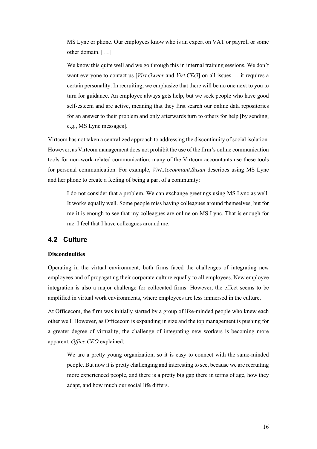MS Lync or phone. Our employees know who is an expert on VAT or payroll or some other domain. […]

We know this quite well and we go through this in internal training sessions. We don't want everyone to contact us [Virt.Owner and Virt.CEO] on all issues ... it requires a certain personality. In recruiting, we emphasize that there will be no one next to you to turn for guidance. An employee always gets help, but we seek people who have good self-esteem and are active, meaning that they first search our online data repositories for an answer to their problem and only afterwards turn to others for help [by sending, e.g., MS Lync messages].

Virtcom has not taken a centralized approach to addressing the discontinuity of social isolation. However, as Virtcom management does not prohibit the use of the firm's online communication tools for non-work-related communication, many of the Virtcom accountants use these tools for personal communication. For example, *Virt.Accountant.Susan* describes using MS Lync and her phone to create a feeling of being a part of a community:

I do not consider that a problem. We can exchange greetings using MS Lync as well. It works equally well. Some people miss having colleagues around themselves, but for me it is enough to see that my colleagues are online on MS Lync. That is enough for me. I feel that I have colleagues around me.

### 4.2 Culture

#### **Discontinuities**

Operating in the virtual environment, both firms faced the challenges of integrating new employees and of propagating their corporate culture equally to all employees. New employee integration is also a major challenge for collocated firms. However, the effect seems to be amplified in virtual work environments, where employees are less immersed in the culture.

At Officecom, the firm was initially started by a group of like-minded people who knew each other well. However, as Officecom is expanding in size and the top management is pushing for a greater degree of virtuality, the challenge of integrating new workers is becoming more apparent. Office.CEO explained:

We are a pretty young organization, so it is easy to connect with the same-minded people. But now it is pretty challenging and interesting to see, because we are recruiting more experienced people, and there is a pretty big gap there in terms of age, how they adapt, and how much our social life differs.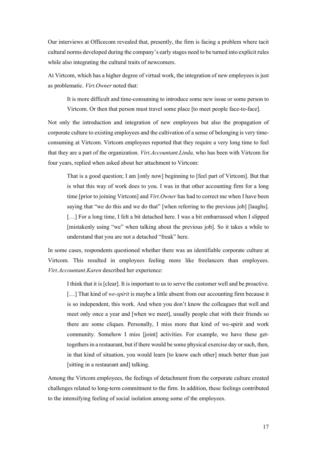Our interviews at Officecom revealed that, presently, the firm is facing a problem where tacit cultural norms developed during the company's early stages need to be turned into explicit rules while also integrating the cultural traits of newcomers.

At Virtcom, which has a higher degree of virtual work, the integration of new employees is just as problematic. Virt.Owner noted that:

It is more difficult and time-consuming to introduce some new issue or some person to

Virtcom. Or then that person must travel some place [to meet people face-to-face].

Not only the introduction and integration of new employees but also the propagation of corporate culture to existing employees and the cultivation of a sense of belonging is very timeconsuming at Virtcom. Virtcom employees reported that they require a very long time to feel that they are a part of the organization. Virt.Accountant.Linda, who has been with Virtcom for four years, replied when asked about her attachment to Virtcom:

That is a good question; I am [only now] beginning to [feel part of Virtcom]. But that is what this way of work does to you. I was in that other accounting firm for a long time [prior to joining Virtcom] and *Virt. Owner* has had to correct me when I have been saying that "we do this and we do that" [when referring to the previous job] [laughs]. [...] For a long time, I felt a bit detached here. I was a bit embarrassed when I slipped [mistakenly using "we" when talking about the previous job]. So it takes a while to understand that you are not a detached "freak" here.

In some cases, respondents questioned whether there was an identifiable corporate culture at Virtcom. This resulted in employees feeling more like freelancers than employees. Virt.Accountant.Karen described her experience:

I think that it is [clear]. It is important to us to serve the customer well and be proactive. [...] That kind of we-spirit is maybe a little absent from our accounting firm because it is so independent, this work. And when you don't know the colleagues that well and meet only once a year and [when we meet], usually people chat with their friends so there are some cliques. Personally, I miss more that kind of we-spirit and work community. Somehow I miss [joint] activities. For example, we have these gettogethers in a restaurant, but if there would be some physical exercise day or such, then, in that kind of situation, you would learn [to know each other] much better than just [sitting in a restaurant and] talking.

Among the Virtcom employees, the feelings of detachment from the corporate culture created challenges related to long-term commitment to the firm. In addition, these feelings contributed to the intensifying feeling of social isolation among some of the employees.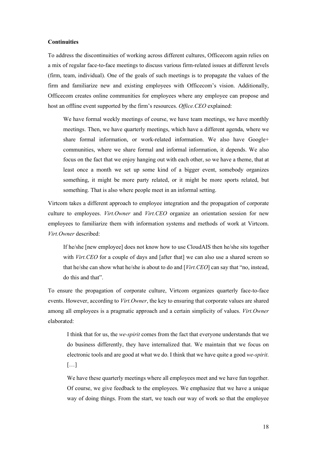#### **Continuities**

To address the discontinuities of working across different cultures, Officecom again relies on a mix of regular face-to-face meetings to discuss various firm-related issues at different levels (firm, team, individual). One of the goals of such meetings is to propagate the values of the firm and familiarize new and existing employees with Officecom's vision. Additionally, Officecom creates online communities for employees where any employee can propose and host an offline event supported by the firm's resources. Office.CEO explained:

We have formal weekly meetings of course, we have team meetings, we have monthly meetings. Then, we have quarterly meetings, which have a different agenda, where we share formal information, or work-related information. We also have Google+ communities, where we share formal and informal information, it depends. We also focus on the fact that we enjoy hanging out with each other, so we have a theme, that at least once a month we set up some kind of a bigger event, somebody organizes something, it might be more party related, or it might be more sports related, but something. That is also where people meet in an informal setting.

Virtcom takes a different approach to employee integration and the propagation of corporate culture to employees. *Virt.Owner* and *Virt.CEO* organize an orientation session for new employees to familiarize them with information systems and methods of work at Virtcom. Virt.Owner described:

If he/she [new employee] does not know how to use CloudAIS then he/she sits together with Virt.CEO for a couple of days and [after that] we can also use a shared screen so that he/she can show what he/she is about to do and [Virt.CEO] can say that "no, instead, do this and that".

To ensure the propagation of corporate culture, Virtcom organizes quarterly face-to-face events. However, according to *Virt. Owner*, the key to ensuring that corporate values are shared among all employees is a pragmatic approach and a certain simplicity of values. Virt.Owner elaborated:

I think that for us, the we-spirit comes from the fact that everyone understands that we do business differently, they have internalized that. We maintain that we focus on electronic tools and are good at what we do. I think that we have quite a good we-spirit.  $[...]$ 

We have these quarterly meetings where all employees meet and we have fun together. Of course, we give feedback to the employees. We emphasize that we have a unique way of doing things. From the start, we teach our way of work so that the employee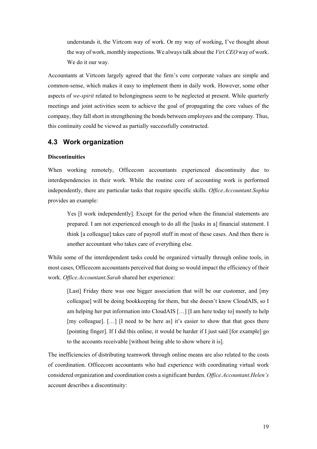understands it, the Virtcom way of work. Or my way of working, I've thought about the way of work, monthly inspections. We always talk about the Virt.CEO way of work. We do it our way.

Accountants at Virtcom largely agreed that the firm's core corporate values are simple and common-sense, which makes it easy to implement them in daily work. However, some other aspects of we-spirit related to belongingness seem to be neglected at present. While quarterly meetings and joint activities seem to achieve the goal of propagating the core values of the company, they fall short in strengthening the bonds between employees and the company. Thus, this continuity could be viewed as partially successfully constructed.

### 4.3 Work organization

#### **Discontinuities**

When working remotely, Officecom accountants experienced discontinuity due to interdependencies in their work. While the routine core of accounting work is performed independently, there are particular tasks that require specific skills. Office.Accountant.Sophia provides an example:

Yes [I work independently]. Except for the period when the financial statements are prepared. I am not experienced enough to do all the [tasks in a] financial statement. I think [a colleague] takes care of payroll stuff in most of these cases. And then there is another accountant who takes care of everything else.

While some of the interdependent tasks could be organized virtually through online tools, in most cases, Officecom accountants perceived that doing so would impact the efficiency of their work. Office.Accountant.Sarah shared her experience:

[Last] Friday there was one bigger association that will be our customer, and [my colleague] will be doing bookkeeping for them, but she doesn't know CloudAIS, so I am helping her put information into CloudAIS […] [I am here today to] mostly to help [my colleague]. […] [I need to be here as] it's easier to show that that goes there [pointing finger]. If I did this online, it would be harder if I just said [for example] go to the accounts receivable [without being able to show where it is].

The inefficiencies of distributing teamwork through online means are also related to the costs of coordination. Officecom accountants who had experience with coordinating virtual work considered organization and coordination costs a significant burden. Office.Accountant.Helen's account describes a discontinuity: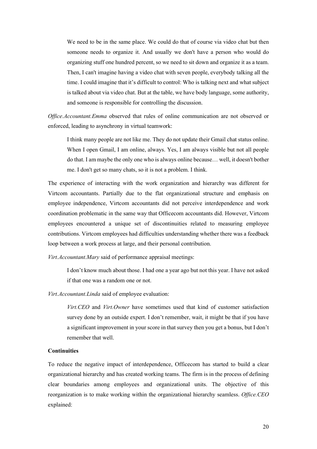We need to be in the same place. We could do that of course via video chat but then someone needs to organize it. And usually we don't have a person who would do organizing stuff one hundred percent, so we need to sit down and organize it as a team. Then, I can't imagine having a video chat with seven people, everybody talking all the time. I could imagine that it's difficult to control: Who is talking next and what subject is talked about via video chat. But at the table, we have body language, some authority, and someone is responsible for controlling the discussion.

Office.Accountant.Emma observed that rules of online communication are not observed or enforced, leading to asynchrony in virtual teamwork:

I think many people are not like me. They do not update their Gmail chat status online. When I open Gmail, I am online, always. Yes, I am always visible but not all people do that. I am maybe the only one who is always online because… well, it doesn't bother me. I don't get so many chats, so it is not a problem. I think.

The experience of interacting with the work organization and hierarchy was different for Virtcom accountants. Partially due to the flat organizational structure and emphasis on employee independence, Virtcom accountants did not perceive interdependence and work coordination problematic in the same way that Officecom accountants did. However, Virtcom employees encountered a unique set of discontinuities related to measuring employee contributions. Virtcom employees had difficulties understanding whether there was a feedback loop between a work process at large, and their personal contribution.

Virt.Accountant.Mary said of performance appraisal meetings:

I don't know much about those. I had one a year ago but not this year. I have not asked if that one was a random one or not.

Virt.Accountant.Linda said of employee evaluation:

Virt.CEO and Virt.Owner have sometimes used that kind of customer satisfaction survey done by an outside expert. I don't remember, wait, it might be that if you have a significant improvement in your score in that survey then you get a bonus, but I don't remember that well.

#### **Continuities**

To reduce the negative impact of interdependence, Officecom has started to build a clear organizational hierarchy and has created working teams. The firm is in the process of defining clear boundaries among employees and organizational units. The objective of this reorganization is to make working within the organizational hierarchy seamless. Office.CEO explained: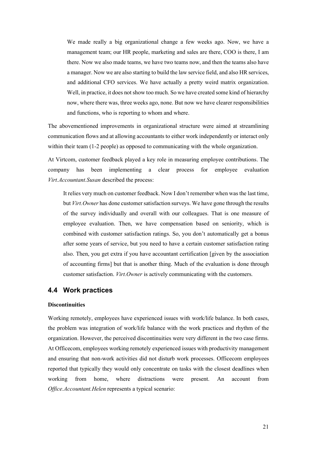We made really a big organizational change a few weeks ago. Now, we have a management team; our HR people, marketing and sales are there, COO is there, I am there. Now we also made teams, we have two teams now, and then the teams also have a manager. Now we are also starting to build the law service field, and also HR services, and additional CFO services. We have actually a pretty weird matrix organization. Well, in practice, it does not show too much. So we have created some kind of hierarchy now, where there was, three weeks ago, none. But now we have clearer responsibilities and functions, who is reporting to whom and where.

The abovementioned improvements in organizational structure were aimed at streamlining communication flows and at allowing accountants to either work independently or interact only within their team (1-2 people) as opposed to communicating with the whole organization.

At Virtcom, customer feedback played a key role in measuring employee contributions. The company has been implementing a clear process for employee evaluation Virt.Accountant.Susan described the process:

It relies very much on customer feedback. Now I don't remember when was the last time, but Virt. Owner has done customer satisfaction surveys. We have gone through the results of the survey individually and overall with our colleagues. That is one measure of employee evaluation. Then, we have compensation based on seniority, which is combined with customer satisfaction ratings. So, you don't automatically get a bonus after some years of service, but you need to have a certain customer satisfaction rating also. Then, you get extra if you have accountant certification [given by the association of accounting firms] but that is another thing. Much of the evaluation is done through customer satisfaction. Virt. Owner is actively communicating with the customers.

#### 4.4 Work practices

#### **Discontinuities**

Working remotely, employees have experienced issues with work/life balance. In both cases, the problem was integration of work/life balance with the work practices and rhythm of the organization. However, the perceived discontinuities were very different in the two case firms. At Officecom, employees working remotely experienced issues with productivity management and ensuring that non-work activities did not disturb work processes. Officecom employees reported that typically they would only concentrate on tasks with the closest deadlines when working from home, where distractions were present. An account from Office.Accountant.Helen represents a typical scenario: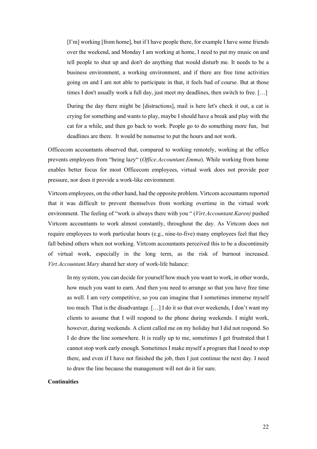[I'm] working [from home], but if I have people there, for example I have some friends over the weekend, and Monday I am working at home, I need to put my music on and tell people to shut up and don't do anything that would disturb me. It needs to be a business environment, a working environment, and if there are free time activities going on and I am not able to participate in that, it feels bad of course. But at those times I don't usually work a full day, just meet my deadlines, then switch to free. […]

During the day there might be [distractions], mail is here let's check it out, a cat is crying for something and wants to play, maybe I should have a break and play with the cat for a while, and then go back to work. People go to do something more fun, but deadlines are there. It would be nonsense to put the hours and not work.

Officecom accountants observed that, compared to working remotely, working at the office prevents employees from "being lazy" (Office.Accountant.Emma). While working from home enables better focus for most Officecom employees, virtual work does not provide peer pressure, nor does it provide a work-like environment.

Virtcom employees, on the other hand, had the opposite problem. Virtcom accountants reported that it was difficult to prevent themselves from working overtime in the virtual work environment. The feeling of "work is always there with you " (Virt.Accountant.Karen) pushed Virtcom accountants to work almost constantly, throughout the day. As Virtcom does not require employees to work particular hours (e.g., nine-to-five) many employees feel that they fall behind others when not working. Virtcom accountants perceived this to be a discontinuity of virtual work, especially in the long term, as the risk of burnout increased. Virt.Accountant.Mary shared her story of work-life balance:

In my system, you can decide for yourself how much you want to work, in other words, how much you want to earn. And then you need to arrange so that you have free time as well. I am very competitive, so you can imagine that I sometimes immerse myself too much. That is the disadvantage. […] I do it so that over weekends, I don't want my clients to assume that I will respond to the phone during weekends. I might work, however, during weekends. A client called me on my holiday but I did not respond. So I do draw the line somewhere. It is really up to me, sometimes I get frustrated that I cannot stop work early enough. Sometimes I make myself a program that I need to stop there, and even if I have not finished the job, then I just continue the next day. I need to draw the line because the management will not do it for sure.

#### **Continuities**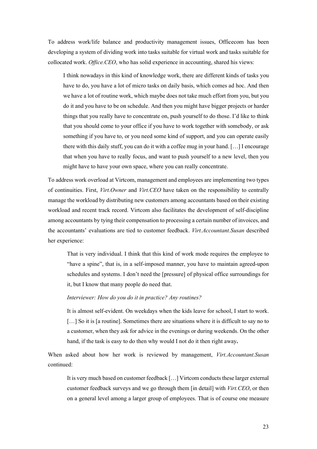To address work/life balance and productivity management issues, Officecom has been developing a system of dividing work into tasks suitable for virtual work and tasks suitable for collocated work. Office.CEO, who has solid experience in accounting, shared his views:

I think nowadays in this kind of knowledge work, there are different kinds of tasks you have to do, you have a lot of micro tasks on daily basis, which comes ad hoc. And then we have a lot of routine work, which maybe does not take much effort from you, but you do it and you have to be on schedule. And then you might have bigger projects or harder things that you really have to concentrate on, push yourself to do those. I'd like to think that you should come to your office if you have to work together with somebody, or ask something if you have to, or you need some kind of support, and you can operate easily there with this daily stuff, you can do it with a coffee mug in your hand. […] I encourage that when you have to really focus, and want to push yourself to a new level, then you might have to have your own space, where you can really concentrate.

To address work overload at Virtcom, management and employees are implementing two types of continuities. First, Virt.Owner and Virt.CEO have taken on the responsibility to centrally manage the workload by distributing new customers among accountants based on their existing workload and recent track record. Virtcom also facilitates the development of self-discipline among accountants by tying their compensation to processing a certain number of invoices, and the accountants' evaluations are tied to customer feedback. Virt.Accountant.Susan described her experience:

That is very individual. I think that this kind of work mode requires the employee to "have a spine", that is, in a self-imposed manner, you have to maintain agreed-upon schedules and systems. I don't need the [pressure] of physical office surroundings for it, but I know that many people do need that.

#### Interviewer: How do you do it in practice? Any routines?

It is almost self-evident. On weekdays when the kids leave for school, I start to work. [...] So it is [a routine]. Sometimes there are situations where it is difficult to say no to a customer, when they ask for advice in the evenings or during weekends. On the other hand, if the task is easy to do then why would I not do it then right away.

When asked about how her work is reviewed by management, Virt.Accountant.Susan continued:

It is very much based on customer feedback […] Virtcom conducts these larger external customer feedback surveys and we go through them [in detail] with Virt.CEO, or then on a general level among a larger group of employees. That is of course one measure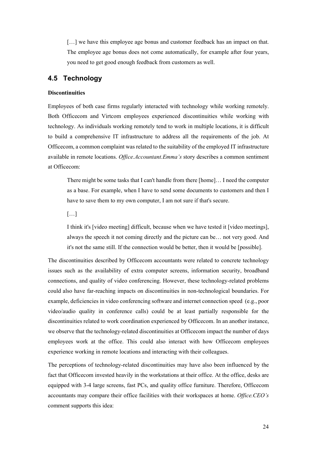[...] we have this employee age bonus and customer feedback has an impact on that. The employee age bonus does not come automatically, for example after four years, you need to get good enough feedback from customers as well.

### 4.5 Technology

#### **Discontinuities**

Employees of both case firms regularly interacted with technology while working remotely. Both Officecom and Virtcom employees experienced discontinuities while working with technology. As individuals working remotely tend to work in multiple locations, it is difficult to build a comprehensive IT infrastructure to address all the requirements of the job. At Officecom, a common complaint was related to the suitability of the employed IT infrastructure available in remote locations. Office.Accountant.Emma's story describes a common sentiment at Officecom:

There might be some tasks that I can't handle from there [home]… I need the computer as a base. For example, when I have to send some documents to customers and then I have to save them to my own computer, I am not sure if that's secure.

 $[...]$ 

I think it's [video meeting] difficult, because when we have tested it [video meetings], always the speech it not coming directly and the picture can be… not very good. And it's not the same still. If the connection would be better, then it would be [possible].

The discontinuities described by Officecom accountants were related to concrete technology issues such as the availability of extra computer screens, information security, broadband connections, and quality of video conferencing. However, these technology-related problems could also have far-reaching impacts on discontinuities in non-technological boundaries. For example, deficiencies in video conferencing software and internet connection speed (e.g., poor video/audio quality in conference calls) could be at least partially responsible for the discontinuities related to work coordination experienced by Officecom. In an another instance, we observe that the technology-related discontinuities at Officecom impact the number of days employees work at the office. This could also interact with how Officecom employees experience working in remote locations and interacting with their colleagues.

The perceptions of technology-related discontinuities may have also been influenced by the fact that Officecom invested heavily in the workstations at their office. At the office, desks are equipped with 3-4 large screens, fast PCs, and quality office furniture. Therefore, Officecom accountants may compare their office facilities with their workspaces at home. Office.CEO's comment supports this idea: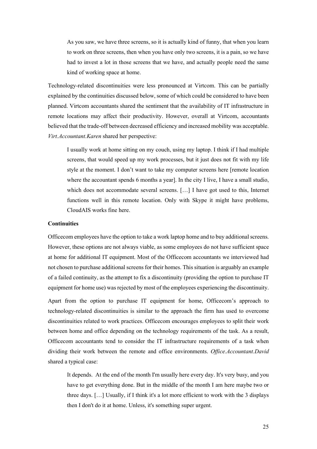As you saw, we have three screens, so it is actually kind of funny, that when you learn to work on three screens, then when you have only two screens, it is a pain, so we have had to invest a lot in those screens that we have, and actually people need the same kind of working space at home.

Technology-related discontinuities were less pronounced at Virtcom. This can be partially explained by the continuities discussed below, some of which could be considered to have been planned. Virtcom accountants shared the sentiment that the availability of IT infrastructure in remote locations may affect their productivity. However, overall at Virtcom, accountants believed that the trade-off between decreased efficiency and increased mobility was acceptable. Virt.Accountant.Karen shared her perspective:

I usually work at home sitting on my couch, using my laptop. I think if I had multiple screens, that would speed up my work processes, but it just does not fit with my life style at the moment. I don't want to take my computer screens here [remote location where the accountant spends 6 months a year]. In the city I live, I have a small studio, which does not accommodate several screens. [...] I have got used to this, Internet functions well in this remote location. Only with Skype it might have problems, CloudAIS works fine here.

#### **Continuities**

Officecom employees have the option to take a work laptop home and to buy additional screens. However, these options are not always viable, as some employees do not have sufficient space at home for additional IT equipment. Most of the Officecom accountants we interviewed had not chosen to purchase additional screens for their homes. This situation is arguably an example of a failed continuity, as the attempt to fix a discontinuity (providing the option to purchase IT equipment for home use) was rejected by most of the employees experiencing the discontinuity.

Apart from the option to purchase IT equipment for home, Officecom's approach to technology-related discontinuities is similar to the approach the firm has used to overcome discontinuities related to work practices. Officecom encourages employees to split their work between home and office depending on the technology requirements of the task. As a result, Officecom accountants tend to consider the IT infrastructure requirements of a task when dividing their work between the remote and office environments. Office.Accountant.David shared a typical case:

It depends. At the end of the month I'm usually here every day. It's very busy, and you have to get everything done. But in the middle of the month I am here maybe two or three days. […] Usually, if I think it's a lot more efficient to work with the 3 displays then I don't do it at home. Unless, it's something super urgent.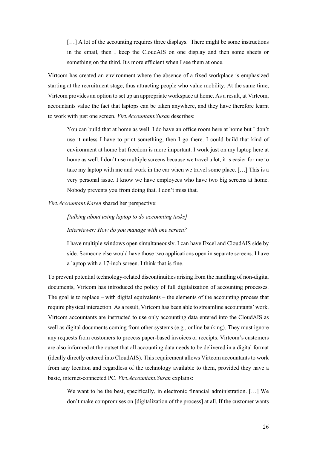[...] A lot of the accounting requires three displays. There might be some instructions in the email, then I keep the CloudAIS on one display and then some sheets or something on the third. It's more efficient when I see them at once.

Virtcom has created an environment where the absence of a fixed workplace is emphasized starting at the recruitment stage, thus attracting people who value mobility. At the same time, Virtcom provides an option to set up an appropriate workspace at home. As a result, at Virtcom, accountants value the fact that laptops can be taken anywhere, and they have therefore learnt to work with just one screen. *Virt.Accountant.Susan* describes:

You can build that at home as well. I do have an office room here at home but I don't use it unless I have to print something, then I go there. I could build that kind of environment at home but freedom is more important. I work just on my laptop here at home as well. I don't use multiple screens because we travel a lot, it is easier for me to take my laptop with me and work in the car when we travel some place. […] This is a very personal issue. I know we have employees who have two big screens at home. Nobody prevents you from doing that. I don't miss that.

Virt.Accountant.Karen shared her perspective:

# [talking about using laptop to do accounting tasks] Interviewer: How do you manage with one screen?

I have multiple windows open simultaneously. I can have Excel and CloudAIS side by side. Someone else would have those two applications open in separate screens. I have a laptop with a 17-inch screen. I think that is fine.

To prevent potential technology-related discontinuities arising from the handling of non-digital documents, Virtcom has introduced the policy of full digitalization of accounting processes. The goal is to replace – with digital equivalents – the elements of the accounting process that require physical interaction. As a result, Virtcom has been able to streamline accountants' work. Virtcom accountants are instructed to use only accounting data entered into the CloudAIS as well as digital documents coming from other systems (e.g., online banking). They must ignore any requests from customers to process paper-based invoices or receipts. Virtcom's customers are also informed at the outset that all accounting data needs to be delivered in a digital format (ideally directly entered into CloudAIS). This requirement allows Virtcom accountants to work from any location and regardless of the technology available to them, provided they have a basic, internet-connected PC. Virt.Accountant.Susan explains:

We want to be the best, specifically, in electronic financial administration. […] We don't make compromises on [digitalization of the process] at all. If the customer wants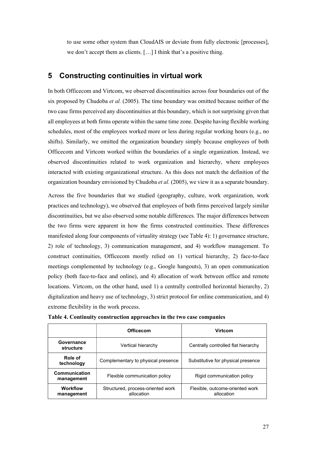to use some other system than CloudAIS or deviate from fully electronic [processes], we don't accept them as clients. […] I think that's a positive thing.

### 5 Constructing continuities in virtual work

In both Officecom and Virtcom, we observed discontinuities across four boundaries out of the six proposed by Chudoba et al. (2005). The time boundary was omitted because neither of the two case firms perceived any discontinuities at this boundary, which is not surprising given that all employees at both firms operate within the same time zone. Despite having flexible working schedules, most of the employees worked more or less during regular working hours (e.g., no shifts). Similarly, we omitted the organization boundary simply because employees of both Officecom and Virtcom worked within the boundaries of a single organization. Instead, we observed discontinuities related to work organization and hierarchy, where employees interacted with existing organizational structure. As this does not match the definition of the organization boundary envisioned by Chudoba et al. (2005), we view it as a separate boundary.

Across the five boundaries that we studied (geography, culture, work organization, work practices and technology), we observed that employees of both firms perceived largely similar discontinuities, but we also observed some notable differences. The major differences between the two firms were apparent in how the firms constructed continuities. These differences manifested along four components of virtuality strategy (see Table 4): 1) governance structure, 2) role of technology, 3) communication management, and 4) workflow management. To construct continuities, Officecom mostly relied on 1) vertical hierarchy, 2) face-to-face meetings complemented by technology (e.g., Google hangouts), 3) an open communication policy (both face-to-face and online), and 4) allocation of work between office and remote locations. Virtcom, on the other hand, used 1) a centrally controlled horizontal hierarchy, 2) digitalization and heavy use of technology, 3) strict protocol for online communication, and 4) extreme flexibility in the work process.

|                               | Officecom                                       | <b>Virtcom</b>                                |  |
|-------------------------------|-------------------------------------------------|-----------------------------------------------|--|
| Governance<br>structure       | Vertical hierarchy                              | Centrally controlled flat hierarchy           |  |
| Role of<br>technology         | Complementary to physical presence              | Substitutive for physical presence            |  |
| Communication<br>management   | Flexible communication policy                   | Rigid communication policy                    |  |
| <b>Workflow</b><br>management | Structured, process-oriented work<br>allocation | Flexible, outcome-oriented work<br>allocation |  |

| Table 4. Continuity construction approaches in the two case companies |  |  |  |  |
|-----------------------------------------------------------------------|--|--|--|--|
|-----------------------------------------------------------------------|--|--|--|--|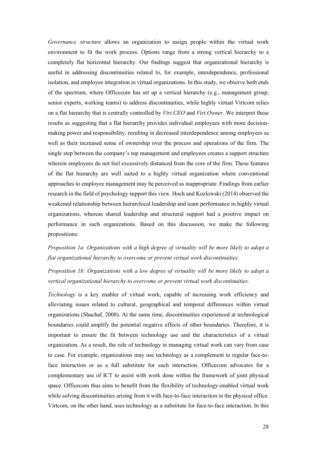Governance structure allows an organization to assign people within the virtual work environment to fit the work process. Options range from a strong vertical hierarchy to a completely flat horizontal hierarchy. Our findings suggest that organizational hierarchy is useful in addressing discontinuities related to, for example, interdependence, professional isolation, and employee integration in virtual organizations. In this study, we observe both ends of the spectrum, where Officecom has set up a vertical hierarchy (e.g., management group, senior experts, working teams) to address discontinuities, while highly virtual Virtcom relies on a flat hierarchy that is centrally controlled by Virt.CEO and Virt.Owner. We interpret these results as suggesting that a flat hierarchy provides individual employees with more decisionmaking power and responsibility, resulting in decreased interdependence among employees as well as their increased sense of ownership over the process and operations of the firm. The single step between the company's top management and employees creates a support structure wherein employees do not feel excessively distanced from the core of the firm. These features of the flat hierarchy are well suited to a highly virtual organization where conventional approaches to employee management may be perceived as inappropriate. Findings from earlier research in the field of psychology support this view. Hoch and Kozlowski (2014) observed the weakened relationship between hierarchical leadership and team performance in highly virtual organizations, whereas shared leadership and structural support had a positive impact on performance in such organizations. Based on this discussion, we make the following propositions:

Proposition 1a: Organizations with a high degree of virtuality will be more likely to adopt a flat organizational hierarchy to overcome or prevent virtual work discontinuities.

Proposition 1b: Organizations with a low degree of virtuality will be more likely to adopt a vertical organizational hierarchy to overcome or prevent virtual work discontinuities.

Technology is a key enabler of virtual work, capable of increasing work efficiency and alleviating issues related to cultural, geographical and temporal differences within virtual organizations (Shachaf, 2008). At the same time, discontinuities experienced at technological boundaries could amplify the potential negative effects of other boundaries. Therefore, it is important to ensure the fit between technology use and the characteristics of a virtual organization. As a result, the role of technology in managing virtual work can vary from case to case. For example, organizations may use technology as a complement to regular face-toface interaction or as a full substitute for such interaction. Officecom advocates for a complementary use of ICT to assist with work done within the framework of joint physical space. Officecom thus aims to benefit from the flexibility of technology-enabled virtual work while solving discontinuities arising from it with face-to-face interaction in the physical office. Virtcom, on the other hand, uses technology as a substitute for face-to-face interaction. In this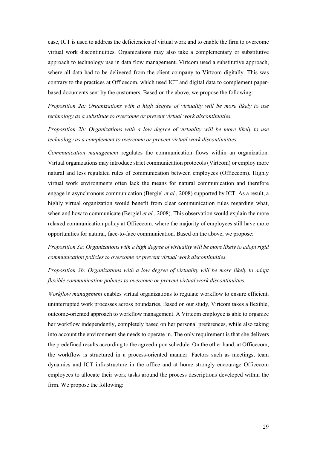case, ICT is used to address the deficiencies of virtual work and to enable the firm to overcome virtual work discontinuities. Organizations may also take a complementary or substitutive approach to technology use in data flow management. Virtcom used a substitutive approach, where all data had to be delivered from the client company to Virtcom digitally. This was contrary to the practices at Officecom, which used ICT and digital data to complement paperbased documents sent by the customers. Based on the above, we propose the following:

Proposition 2a: Organizations with a high degree of virtuality will be more likely to use technology as a substitute to overcome or prevent virtual work discontinuities.

Proposition 2b: Organizations with a low degree of virtuality will be more likely to use technology as a complement to overcome or prevent virtual work discontinuities.

Communication management regulates the communication flows within an organization. Virtual organizations may introduce strict communication protocols (Virtcom) or employ more natural and less regulated rules of communication between employees (Officecom). Highly virtual work environments often lack the means for natural communication and therefore engage in asynchronous communication (Bergiel *et al.*, 2008) supported by ICT. As a result, a highly virtual organization would benefit from clear communication rules regarding what, when and how to communicate (Bergiel *et al.*, 2008). This observation would explain the more relaxed communication policy at Officecom, where the majority of employees still have more opportunities for natural, face-to-face communication. Based on the above, we propose:

Proposition 3a: Organizations with a high degree of virtuality will be more likely to adopt rigid communication policies to overcome or prevent virtual work discontinuities.

Proposition 3b: Organizations with a low degree of virtuality will be more likely to adopt flexible communication policies to overcome or prevent virtual work discontinuities.

Workflow management enables virtual organizations to regulate workflow to ensure efficient, uninterrupted work processes across boundaries. Based on our study, Virtcom takes a flexible, outcome-oriented approach to workflow management. A Virtcom employee is able to organize her workflow independently, completely based on her personal preferences, while also taking into account the environment she needs to operate in. The only requirement is that she delivers the predefined results according to the agreed-upon schedule. On the other hand, at Officecom, the workflow is structured in a process-oriented manner. Factors such as meetings, team dynamics and ICT infrastructure in the office and at home strongly encourage Officecom employees to allocate their work tasks around the process descriptions developed within the firm. We propose the following: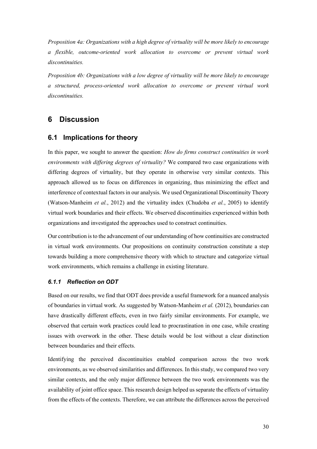Proposition 4a: Organizations with a high degree of virtuality will be more likely to encourage a flexible, outcome-oriented work allocation to overcome or prevent virtual work discontinuities.

Proposition 4b: Organizations with a low degree of virtuality will be more likely to encourage a structured, process-oriented work allocation to overcome or prevent virtual work discontinuities.

### 6 Discussion

### 6.1 Implications for theory

In this paper, we sought to answer the question: How do firms construct continuities in work environments with differing degrees of virtuality? We compared two case organizations with differing degrees of virtuality, but they operate in otherwise very similar contexts. This approach allowed us to focus on differences in organizing, thus minimizing the effect and interference of contextual factors in our analysis. We used Organizational Discontinuity Theory (Watson-Manheim et al., 2012) and the virtuality index (Chudoba et al., 2005) to identify virtual work boundaries and their effects. We observed discontinuities experienced within both organizations and investigated the approaches used to construct continuities.

Our contribution is to the advancement of our understanding of how continuities are constructed in virtual work environments. Our propositions on continuity construction constitute a step towards building a more comprehensive theory with which to structure and categorize virtual work environments, which remains a challenge in existing literature.

#### 6.1.1 Reflection on ODT

Based on our results, we find that ODT does provide a useful framework for a nuanced analysis of boundaries in virtual work. As suggested by Watson-Manheim et al. (2012), boundaries can have drastically different effects, even in two fairly similar environments. For example, we observed that certain work practices could lead to procrastination in one case, while creating issues with overwork in the other. These details would be lost without a clear distinction between boundaries and their effects.

Identifying the perceived discontinuities enabled comparison across the two work environments, as we observed similarities and differences. In this study, we compared two very similar contexts, and the only major difference between the two work environments was the availability of joint office space. This research design helped us separate the effects of virtuality from the effects of the contexts. Therefore, we can attribute the differences across the perceived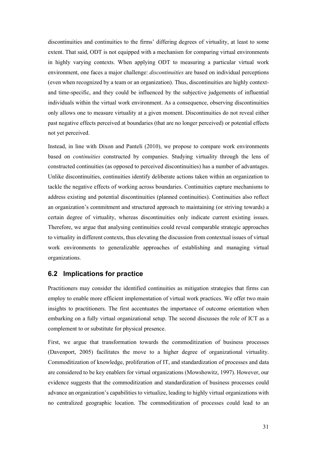discontinuities and continuities to the firms' differing degrees of virtuality, at least to some extent. That said, ODT is not equipped with a mechanism for comparing virtual environments in highly varying contexts. When applying ODT to measuring a particular virtual work environment, one faces a major challenge: *discontinuities* are based on individual perceptions (even when recognized by a team or an organization). Thus, discontinuities are highly contextand time-specific, and they could be influenced by the subjective judgements of influential individuals within the virtual work environment. As a consequence, observing discontinuities only allows one to measure virtuality at a given moment. Discontinuities do not reveal either past negative effects perceived at boundaries (that are no longer perceived) or potential effects not yet perceived.

Instead, in line with Dixon and Panteli (2010), we propose to compare work environments based on continuities constructed by companies. Studying virtuality through the lens of constructed continuities (as opposed to perceived discontinuities) has a number of advantages. Unlike discontinuities, continuities identify deliberate actions taken within an organization to tackle the negative effects of working across boundaries. Continuities capture mechanisms to address existing and potential discontinuities (planned continuities). Continuities also reflect an organization's commitment and structured approach to maintaining (or striving towards) a certain degree of virtuality, whereas discontinuities only indicate current existing issues. Therefore, we argue that analysing continuities could reveal comparable strategic approaches to virtuality in different contexts, thus elevating the discussion from contextual issues of virtual work environments to generalizable approaches of establishing and managing virtual organizations.

#### 6.2 Implications for practice

Practitioners may consider the identified continuities as mitigation strategies that firms can employ to enable more efficient implementation of virtual work practices. We offer two main insights to practitioners. The first accentuates the importance of outcome orientation when embarking on a fully virtual organizational setup. The second discusses the role of ICT as a complement to or substitute for physical presence.

First, we argue that transformation towards the commoditization of business processes (Davenport, 2005) facilitates the move to a higher degree of organizational virtuality. Commoditization of knowledge, proliferation of IT, and standardization of processes and data are considered to be key enablers for virtual organizations (Mowshowitz, 1997). However, our evidence suggests that the commoditization and standardization of business processes could advance an organization's capabilities to virtualize, leading to highly virtual organizations with no centralized geographic location. The commoditization of processes could lead to an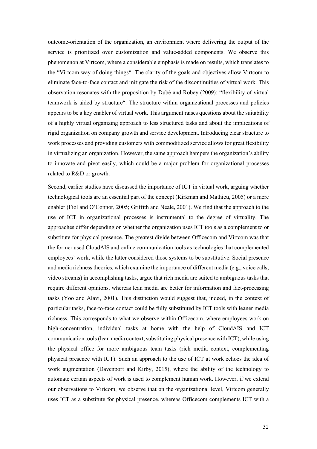outcome-orientation of the organization, an environment where delivering the output of the service is prioritized over customization and value-added components. We observe this phenomenon at Virtcom, where a considerable emphasis is made on results, which translates to the "Virtcom way of doing things". The clarity of the goals and objectives allow Virtcom to eliminate face-to-face contact and mitigate the risk of the discontinuities of virtual work. This observation resonates with the proposition by Dubé and Robey (2009): "flexibility of virtual teamwork is aided by structure". The structure within organizational processes and policies appears to be a key enabler of virtual work. This argument raises questions about the suitability of a highly virtual organizing approach to less structured tasks and about the implications of rigid organization on company growth and service development. Introducing clear structure to work processes and providing customers with commoditized service allows for great flexibility in virtualizing an organization. However, the same approach hampers the organization's ability to innovate and pivot easily, which could be a major problem for organizational processes related to R&D or growth.

Second, earlier studies have discussed the importance of ICT in virtual work, arguing whether technological tools are an essential part of the concept (Kirkman and Mathieu, 2005) or a mere enabler (Fiol and O'Connor, 2005; Griffith and Neale, 2001). We find that the approach to the use of ICT in organizational processes is instrumental to the degree of virtuality. The approaches differ depending on whether the organization uses ICT tools as a complement to or substitute for physical presence. The greatest divide between Officecom and Virtcom was that the former used CloudAIS and online communication tools as technologies that complemented employees' work, while the latter considered those systems to be substitutive. Social presence and media richness theories, which examine the importance of different media (e.g., voice calls, video streams) in accomplishing tasks, argue that rich media are suited to ambiguous tasks that require different opinions, whereas lean media are better for information and fact-processing tasks (Yoo and Alavi, 2001). This distinction would suggest that, indeed, in the context of particular tasks, face-to-face contact could be fully substituted by ICT tools with leaner media richness. This corresponds to what we observe within Officecom, where employees work on high-concentration, individual tasks at home with the help of CloudAIS and ICT communication tools (lean media context, substituting physical presence with ICT), while using the physical office for more ambiguous team tasks (rich media context, complementing physical presence with ICT). Such an approach to the use of ICT at work echoes the idea of work augmentation (Davenport and Kirby, 2015), where the ability of the technology to automate certain aspects of work is used to complement human work. However, if we extend our observations to Virtcom, we observe that on the organizational level, Virtcom generally uses ICT as a substitute for physical presence, whereas Officecom complements ICT with a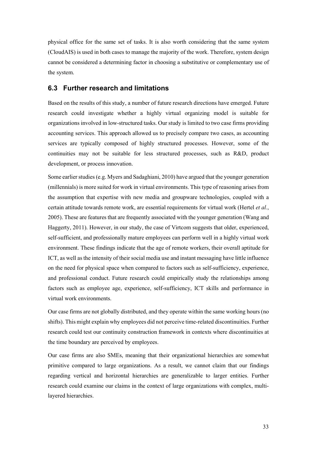physical office for the same set of tasks. It is also worth considering that the same system (CloudAIS) is used in both cases to manage the majority of the work. Therefore, system design cannot be considered a determining factor in choosing a substitutive or complementary use of the system.

#### 6.3 Further research and limitations

Based on the results of this study, a number of future research directions have emerged. Future research could investigate whether a highly virtual organizing model is suitable for organizations involved in low-structured tasks. Our study is limited to two case firms providing accounting services. This approach allowed us to precisely compare two cases, as accounting services are typically composed of highly structured processes. However, some of the continuities may not be suitable for less structured processes, such as R&D, product development, or process innovation.

Some earlier studies (e.g. Myers and Sadaghiani, 2010) have argued that the younger generation (millennials) is more suited for work in virtual environments. This type of reasoning arises from the assumption that expertise with new media and groupware technologies, coupled with a certain attitude towards remote work, are essential requirements for virtual work (Hertel et al., 2005). These are features that are frequently associated with the younger generation (Wang and Haggerty, 2011). However, in our study, the case of Virtcom suggests that older, experienced, self-sufficient, and professionally mature employees can perform well in a highly virtual work environment. These findings indicate that the age of remote workers, their overall aptitude for ICT, as well as the intensity of their social media use and instant messaging have little influence on the need for physical space when compared to factors such as self-sufficiency, experience, and professional conduct. Future research could empirically study the relationships among factors such as employee age, experience, self-sufficiency, ICT skills and performance in virtual work environments.

Our case firms are not globally distributed, and they operate within the same working hours (no shifts). This might explain why employees did not perceive time-related discontinuities. Further research could test our continuity construction framework in contexts where discontinuities at the time boundary are perceived by employees.

Our case firms are also SMEs, meaning that their organizational hierarchies are somewhat primitive compared to large organizations. As a result, we cannot claim that our findings regarding vertical and horizontal hierarchies are generalizable to larger entities. Further research could examine our claims in the context of large organizations with complex, multilayered hierarchies.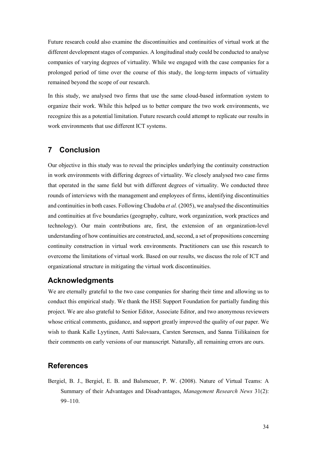Future research could also examine the discontinuities and continuities of virtual work at the different development stages of companies. A longitudinal study could be conducted to analyse companies of varying degrees of virtuality. While we engaged with the case companies for a prolonged period of time over the course of this study, the long-term impacts of virtuality remained beyond the scope of our research.

In this study, we analysed two firms that use the same cloud-based information system to organize their work. While this helped us to better compare the two work environments, we recognize this as a potential limitation. Future research could attempt to replicate our results in work environments that use different ICT systems.

### 7 Conclusion

Our objective in this study was to reveal the principles underlying the continuity construction in work environments with differing degrees of virtuality. We closely analysed two case firms that operated in the same field but with different degrees of virtuality. We conducted three rounds of interviews with the management and employees of firms, identifying discontinuities and continuities in both cases. Following Chudoba et al. (2005), we analysed the discontinuities and continuities at five boundaries (geography, culture, work organization, work practices and technology). Our main contributions are, first, the extension of an organization-level understanding of how continuities are constructed, and, second, a set of propositions concerning continuity construction in virtual work environments. Practitioners can use this research to overcome the limitations of virtual work. Based on our results, we discuss the role of ICT and organizational structure in mitigating the virtual work discontinuities.

### Acknowledgments

We are eternally grateful to the two case companies for sharing their time and allowing us to conduct this empirical study. We thank the HSE Support Foundation for partially funding this project. We are also grateful to Senior Editor, Associate Editor, and two anonymous reviewers whose critical comments, guidance, and support greatly improved the quality of our paper. We wish to thank Kalle Lyytinen, Antti Salovaara, Carsten Sørensen, and Sanna Tiilikainen for their comments on early versions of our manuscript. Naturally, all remaining errors are ours.

### **References**

Bergiel, B. J., Bergiel, E. B. and Balsmeuer, P. W. (2008). Nature of Virtual Teams: A Summary of their Advantages and Disadvantages, Management Research News 31(2): 99–110.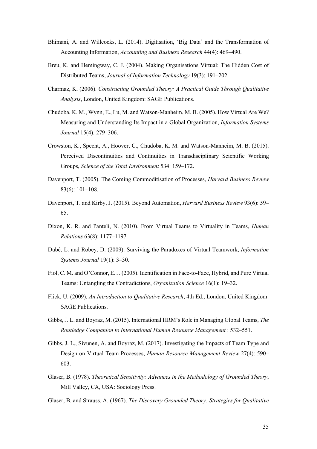- Bhimani, A. and Willcocks, L. (2014). Digitisation, 'Big Data' and the Transformation of Accounting Information, Accounting and Business Research 44(4): 469–490.
- Breu, K. and Hemingway, C. J. (2004). Making Organisations Virtual: The Hidden Cost of Distributed Teams, Journal of Information Technology 19(3): 191–202.
- Charmaz, K. (2006). Constructing Grounded Theory: A Practical Guide Through Qualitative Analysis, London, United Kingdom: SAGE Publications.
- Chudoba, K. M., Wynn, E., Lu, M. and Watson-Manheim, M. B. (2005). How Virtual Are We? Measuring and Understanding Its Impact in a Global Organization, Information Systems Journal 15(4): 279–306.
- Crowston, K., Specht, A., Hoover, C., Chudoba, K. M. and Watson-Manheim, M. B. (2015). Perceived Discontinuities and Continuities in Transdisciplinary Scientific Working Groups, Science of the Total Environment 534: 159–172.
- Davenport, T. (2005). The Coming Commoditisation of Processes, Harvard Business Review 83(6): 101–108.
- Davenport, T. and Kirby, J. (2015). Beyond Automation, Harvard Business Review 93(6): 59– 65.
- Dixon, K. R. and Panteli, N. (2010). From Virtual Teams to Virtuality in Teams, Human Relations 63(8): 1177–1197.
- Dubé, L. and Robey, D. (2009). Surviving the Paradoxes of Virtual Teamwork, Information Systems Journal 19(1): 3–30.
- Fiol, C. M. and O'Connor, E. J. (2005). Identification in Face-to-Face, Hybrid, and Pure Virtual Teams: Untangling the Contradictions, Organization Science 16(1): 19–32.
- Flick, U. (2009). An Introduction to Qualitative Research, 4th Ed., London, United Kingdom: SAGE Publications.
- Gibbs, J. L. and Boyraz, M. (2015). International HRM's Role in Managing Global Teams, The Routledge Companion to International Human Resource Management : 532–551.
- Gibbs, J. L., Sivunen, A. and Boyraz, M. (2017). Investigating the Impacts of Team Type and Design on Virtual Team Processes, Human Resource Management Review 27(4): 590– 603.
- Glaser, B. (1978). Theoretical Sensitivity: Advances in the Methodology of Grounded Theory, Mill Valley, CA, USA: Sociology Press.
- Glaser, B. and Strauss, A. (1967). The Discovery Grounded Theory: Strategies for Qualitative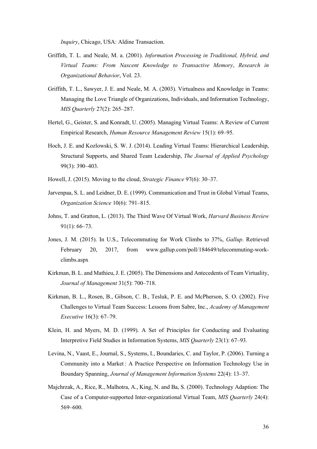Inquiry, Chicago, USA: Aldine Transaction.

- Griffith, T. L. and Neale, M. a. (2001). Information Processing in Traditional, Hybrid, and Virtual Teams: From Nascent Knowledge to Transactive Memory, Research in Organizational Behavior, Vol. 23.
- Griffith, T. L., Sawyer, J. E. and Neale, M. A. (2003). Virtualness and Knowledge in Teams: Managing the Love Triangle of Organizations, Individuals, and Information Technology, MIS Quarterly 27(2): 265–287.
- Hertel, G., Geister, S. and Konradt, U. (2005). Managing Virtual Teams: A Review of Current Empirical Research, Human Resource Management Review 15(1): 69–95.
- Hoch, J. E. and Kozlowski, S. W. J. (2014). Leading Virtual Teams: Hierarchical Leadership, Structural Supports, and Shared Team Leadership, The Journal of Applied Psychology 99(3): 390–403.
- Howell, J. (2015). Moving to the cloud, Strategic Finance 97(6): 30–37.
- Jarvenpaa, S. L. and Leidner, D. E. (1999). Communication and Trust in Global Virtual Teams, Organization Science 10(6): 791–815.
- Johns, T. and Gratton, L. (2013). The Third Wave Of Virtual Work, Harvard Business Review 91(1): 66–73.
- Jones, J. M. (2015). In U.S., Telecommuting for Work Climbs to 37%, Gallup. Retrieved February 20, 2017, from www.gallup.com/poll/184649/telecommuting-workclimbs.aspx
- Kirkman, B. L. and Mathieu, J. E. (2005). The Dimensions and Antecedents of Team Virtuality, Journal of Management 31(5): 700–718.
- Kirkman, B. L., Rosen, B., Gibson, C. B., Tesluk, P. E. and McPherson, S. O. (2002). Five Challenges to Virtual Team Success: Lessons from Sabre, Inc., Academy of Management Executive 16(3): 67–79.
- Klein, H. and Myers, M. D. (1999). A Set of Principles for Conducting and Evaluating Interpretive Field Studies in Information Systems, MIS Quarterly 23(1): 67–93.
- Levina, N., Vaast, E., Journal, S., Systems, I., Boundaries, C. and Taylor, P. (2006). Turning a Community into a Market : A Practice Perspective on Information Technology Use in Boundary Spanning, Journal of Management Information Systems 22(4): 13–37.
- Majchrzak, A., Rice, R., Malhotra, A., King, N. and Ba, S. (2000). Technology Adaption: The Case of a Computer-supported Inter-organizational Virtual Team, MIS Quarterly 24(4): 569–600.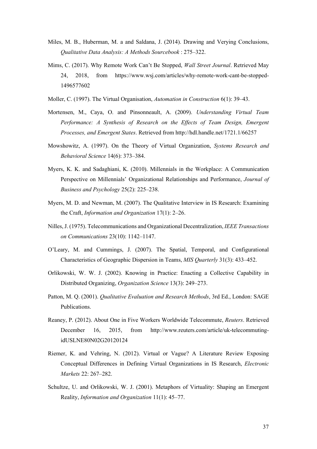- Miles, M. B., Huberman, M. a and Saldana, J. (2014). Drawing and Verying Conclusions, Qualitative Data Analysis: A Methods Sourcebook : 275–322.
- Mims, C. (2017). Why Remote Work Can't Be Stopped, Wall Street Journal. Retrieved May 24, 2018, from https://www.wsj.com/articles/why-remote-work-cant-be-stopped-1496577602
- Moller, C. (1997). The Virtual Organisation, Automation in Construction 6(1): 39–43.
- Mortensen, M., Caya, O. and Pinsonneault, A. (2009). Understanding Virtual Team Performance: A Synthesis of Research on the Effects of Team Design, Emergent Processes, and Emergent States. Retrieved from http://hdl.handle.net/1721.1/66257
- Mowshowitz, A. (1997). On the Theory of Virtual Organization, Systems Research and Behavioral Science 14(6): 373–384.
- Myers, K. K. and Sadaghiani, K. (2010). Millennials in the Workplace: A Communication Perspective on Millennials' Organizational Relationships and Performance, Journal of Business and Psychology 25(2): 225–238.
- Myers, M. D. and Newman, M. (2007). The Qualitative Interview in IS Research: Examining the Craft, Information and Organization 17(1): 2–26.
- Nilles, J. (1975). Telecommunications and Organizational Decentralization, IEEE Transactions on Communications 23(10): 1142–1147.
- O'Leary, M. and Cummings, J. (2007). The Spatial, Temporal, and Configurational Characteristics of Geographic Dispersion in Teams, MIS Quarterly 31(3): 433–452.
- Orlikowski, W. W. J. (2002). Knowing in Practice: Enacting a Collective Capability in Distributed Organizing, Organization Science 13(3): 249–273.
- Patton, M. Q. (2001). Qualitative Evaluation and Research Methods, 3rd Ed., London: SAGE Publications.
- Reaney, P. (2012). About One in Five Workers Worldwide Telecommute, Reuters. Retrieved December 16, 2015, from http://www.reuters.com/article/uk-telecommutingidUSLNE80N02G20120124
- Riemer, K. and Vehring, N. (2012). Virtual or Vague? A Literature Review Exposing Conceptual Differences in Defining Virtual Organizations in IS Research, Electronic Markets 22: 267–282.
- Schultze, U. and Orlikowski, W. J. (2001). Metaphors of Virtuality: Shaping an Emergent Reality, Information and Organization 11(1): 45–77.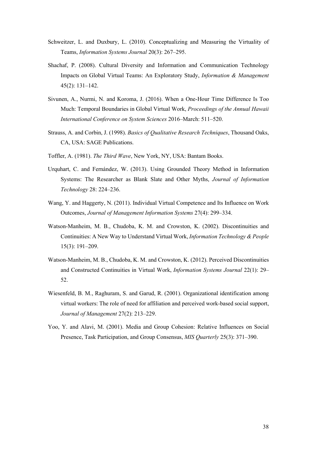- Schweitzer, L. and Duxbury, L. (2010). Conceptualizing and Measuring the Virtuality of Teams, Information Systems Journal 20(3): 267–295.
- Shachaf, P. (2008). Cultural Diversity and Information and Communication Technology Impacts on Global Virtual Teams: An Exploratory Study, Information & Management 45(2): 131–142.
- Sivunen, A., Nurmi, N. and Koroma, J. (2016). When a One-Hour Time Difference Is Too Much: Temporal Boundaries in Global Virtual Work, Proceedings of the Annual Hawaii International Conference on System Sciences 2016–March: 511–520.
- Strauss, A. and Corbin, J. (1998). Basics of Qualitative Research Techniques, Thousand Oaks, CA, USA: SAGE Publications.
- Toffler, A. (1981). The Third Wave, New York, NY, USA: Bantam Books.
- Urquhart, C. and Fernández, W. (2013). Using Grounded Theory Method in Information Systems: The Researcher as Blank Slate and Other Myths, Journal of Information Technology 28: 224–236.
- Wang, Y. and Haggerty, N. (2011). Individual Virtual Competence and Its Influence on Work Outcomes, Journal of Management Information Systems 27(4): 299–334.
- Watson-Manheim, M. B., Chudoba, K. M. and Crowston, K. (2002). Discontinuities and Continuities: A New Way to Understand Virtual Work, Information Technology & People 15(3): 191–209.
- Watson-Manheim, M. B., Chudoba, K. M. and Crowston, K. (2012). Perceived Discontinuities and Constructed Continuities in Virtual Work, Information Systems Journal 22(1): 29– 52.
- Wiesenfeld, B. M., Raghuram, S. and Garud, R. (2001). Organizational identification among virtual workers: The role of need for affiliation and perceived work-based social support, Journal of Management 27(2): 213–229.
- Yoo, Y. and Alavi, M. (2001). Media and Group Cohesion: Relative Influences on Social Presence, Task Participation, and Group Consensus, MIS Quarterly 25(3): 371-390.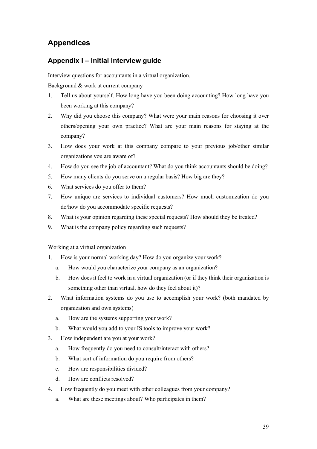# Appendices

### Appendix I – Initial interview guide

Interview questions for accountants in a virtual organization.

Background & work at current company

- 1. Tell us about yourself. How long have you been doing accounting? How long have you been working at this company?
- 2. Why did you choose this company? What were your main reasons for choosing it over others/opening your own practice? What are your main reasons for staying at the company?
- 3. How does your work at this company compare to your previous job/other similar organizations you are aware of?
- 4. How do you see the job of accountant? What do you think accountants should be doing?
- 5. How many clients do you serve on a regular basis? How big are they?
- 6. What services do you offer to them?
- 7. How unique are services to individual customers? How much customization do you do/how do you accommodate specific requests?
- 8. What is your opinion regarding these special requests? How should they be treated?
- 9. What is the company policy regarding such requests?

#### Working at a virtual organization

- 1. How is your normal working day? How do you organize your work?
	- a. How would you characterize your company as an organization?
	- b. How does it feel to work in a virtual organization (or if they think their organization is something other than virtual, how do they feel about it)?
- 2. What information systems do you use to accomplish your work? (both mandated by organization and own systems)
	- a. How are the systems supporting your work?
	- b. What would you add to your IS tools to improve your work?
- 3. How independent are you at your work?
	- a. How frequently do you need to consult/interact with others?
	- b. What sort of information do you require from others?
	- c. How are responsibilities divided?
	- d. How are conflicts resolved?
- 4. How frequently do you meet with other colleagues from your company?
	- a. What are these meetings about? Who participates in them?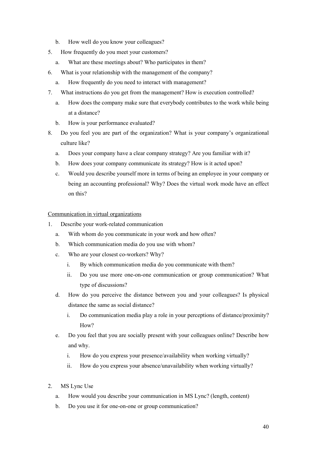- b. How well do you know your colleagues?
- 5. How frequently do you meet your customers?
	- a. What are these meetings about? Who participates in them?
- 6. What is your relationship with the management of the company?
	- a. How frequently do you need to interact with management?
- 7. What instructions do you get from the management? How is execution controlled?
	- a. How does the company make sure that everybody contributes to the work while being at a distance?
	- b. How is your performance evaluated?
- 8. Do you feel you are part of the organization? What is your company's organizational culture like?
	- a. Does your company have a clear company strategy? Are you familiar with it?
	- b. How does your company communicate its strategy? How is it acted upon?
	- c. Would you describe yourself more in terms of being an employee in your company or being an accounting professional? Why? Does the virtual work mode have an effect on this?

#### Communication in virtual organizations

- 1. Describe your work-related communication
	- a. With whom do you communicate in your work and how often?
	- b. Which communication media do you use with whom?
	- c. Who are your closest co-workers? Why?
		- i. By which communication media do you communicate with them?
		- ii. Do you use more one-on-one communication or group communication? What type of discussions?
	- d. How do you perceive the distance between you and your colleagues? Is physical distance the same as social distance?
		- i. Do communication media play a role in your perceptions of distance/proximity? H<sub>ow</sub>?
	- e. Do you feel that you are socially present with your colleagues online? Describe how and why.
		- i. How do you express your presence/availability when working virtually?
		- ii. How do you express your absence/unavailability when working virtually?
- 2. MS Lync Use
	- a. How would you describe your communication in MS Lync? (length, content)
	- b. Do you use it for one-on-one or group communication?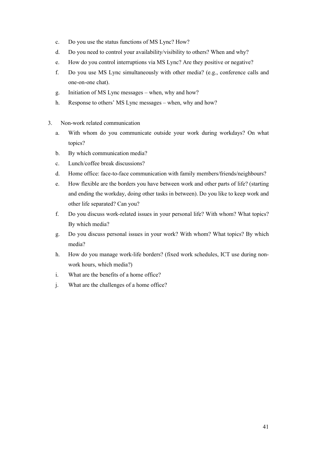- c. Do you use the status functions of MS Lync? How?
- d. Do you need to control your availability/visibility to others? When and why?
- e. How do you control interruptions via MS Lync? Are they positive or negative?
- f. Do you use MS Lync simultaneously with other media? (e.g., conference calls and one-on-one chat).
- g. Initiation of MS Lync messages when, why and how?
- h. Response to others' MS Lync messages when, why and how?
- 3. Non-work related communication
	- a. With whom do you communicate outside your work during workdays? On what topics?
	- b. By which communication media?
	- c. Lunch/coffee break discussions?
	- d. Home office: face-to-face communication with family members/friends/neighbours?
	- e. How flexible are the borders you have between work and other parts of life? (starting and ending the workday, doing other tasks in between). Do you like to keep work and other life separated? Can you?
	- f. Do you discuss work-related issues in your personal life? With whom? What topics? By which media?
	- g. Do you discuss personal issues in your work? With whom? What topics? By which media?
	- h. How do you manage work-life borders? (fixed work schedules, ICT use during nonwork hours, which media?)
	- i. What are the benefits of a home office?
	- j. What are the challenges of a home office?